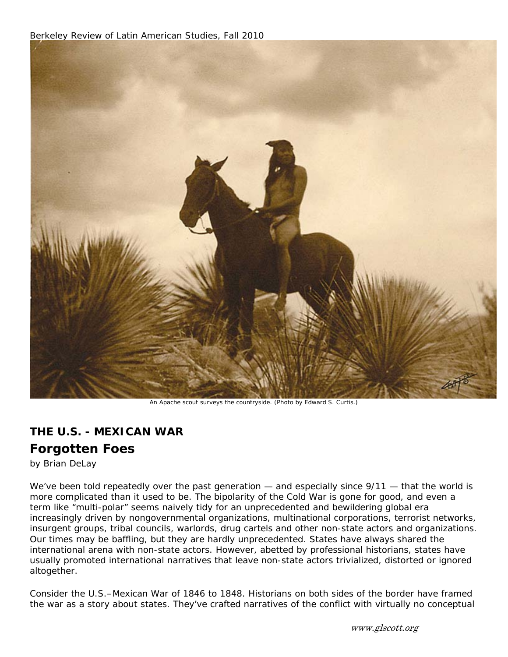

An Apache scout surveys the countryside. (Photo by Edward S. Curtis.)

## **THE U.S. - MEXICAN WAR**

## **Forgotten Foes**

*by Brian DeLay*

We've been told repeatedly over the past generation — and especially since  $9/11$  — that the world is more complicated than it used to be. The bipolarity of the Cold War is gone for good, and even a term like "multi-polar" seems naively tidy for an unprecedented and bewildering global era increasingly driven by nongovernmental organizations, multinational corporations, terrorist networks, insurgent groups, tribal councils, warlords, drug cartels and other non-state actors and organizations. Our times may be baffling, but they are hardly unprecedented. States have always shared the international arena with non-state actors. However, abetted by professional historians, states have usually promoted international narratives that leave non-state actors trivialized, distorted or ignored altogether.

Consider the U.S.–Mexican War of 1846 to 1848. Historians on both sides of the border have framed the war as a story about states. They've crafted narratives of the conflict with virtually no conceptual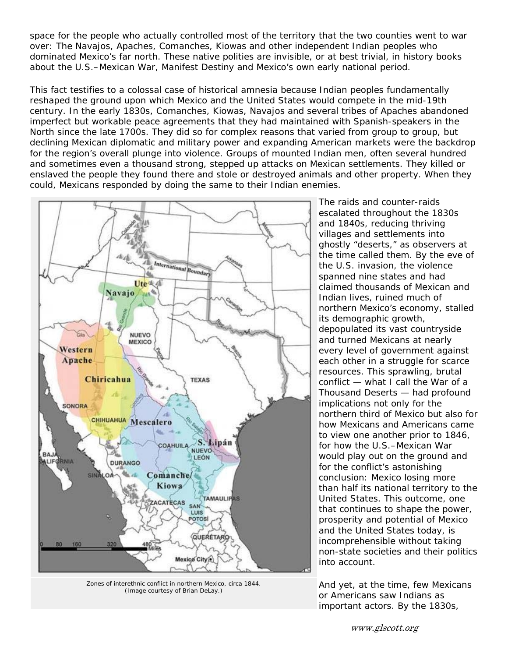space for the people who actually controlled most of the territory that the two counties went to war over: The Navajos, Apaches, Comanches, Kiowas and other independent Indian peoples who dominated Mexico's far north. These native polities are invisible, or at best trivial, in history books about the U.S.–Mexican War, Manifest Destiny and Mexico's own early national period.

This fact testifies to a colossal case of historical amnesia because Indian peoples fundamentally reshaped the ground upon which Mexico and the United States would compete in the mid-19th century. In the early 1830s, Comanches, Kiowas, Navajos and several tribes of Apaches abandoned imperfect but workable peace agreements that they had maintained with Spanish-speakers in the North since the late 1700s. They did so for complex reasons that varied from group to group, but declining Mexican diplomatic and military power and expanding American markets were the backdrop for the region's overall plunge into violence. Groups of mounted Indian men, often several hundred and sometimes even a thousand strong, stepped up attacks on Mexican settlements. They killed or enslaved the people they found there and stole or destroyed animals and other property. When they could, Mexicans responded by doing the same to their Indian enemies.



Zones of interethnic conflict in northern Mexico, circa 1844. (Image courtesy of Brian DeLay.)

The raids and counter-raids escalated throughout the 1830s and 1840s, reducing thriving villages and settlements into ghostly "deserts," as observers at the time called them. By the eve of the U.S. invasion, the violence spanned nine states and had claimed thousands of Mexican and Indian lives, ruined much of northern Mexico's economy, stalled its demographic growth, depopulated its vast countryside and turned Mexicans at nearly every level of government against each other in a struggle for scarce resources. This sprawling, brutal conflict — what I call the War of a Thousand Deserts — had profound implications not only for the northern third of Mexico but also for how Mexicans and Americans came to view one another prior to 1846, for how the U.S.–Mexican War would play out on the ground and for the conflict's astonishing conclusion: Mexico losing more than half its national territory to the United States. This outcome, one that continues to shape the power, prosperity and potential of Mexico and the United States today, is incomprehensible without taking non-state societies and their politics into account.

And yet, at the time, few Mexicans or Americans saw Indians as important actors. By the 1830s,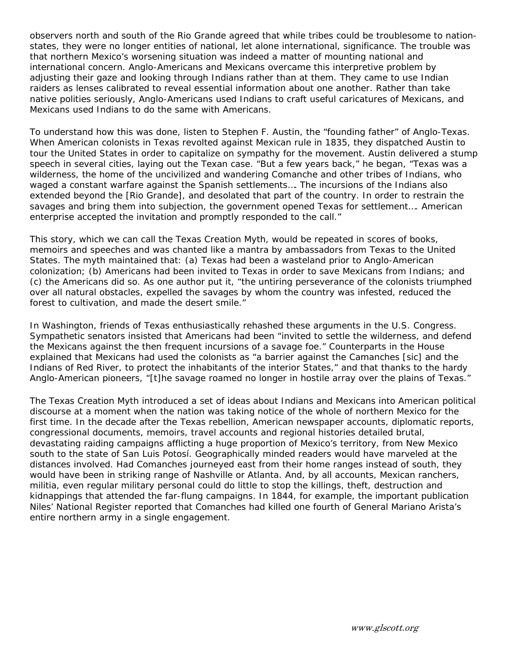observers north and south of the Rio Grande agreed that while tribes could be troublesome to nationstates, they were no longer entities of national, let alone international, significance. The trouble was that northern Mexico's worsening situation was indeed a matter of mounting national and international concern. Anglo-Americans and Mexicans overcame this interpretive problem by adjusting their gaze and looking through Indians rather than at them. They came to use Indian raiders as lenses calibrated to reveal essential information about one another. Rather than take native polities seriously, Anglo-Americans used Indians to craft useful caricatures of Mexicans, and Mexicans used Indians to do the same with Americans.

To understand how this was done, listen to Stephen F. Austin, the "founding father" of Anglo-Texas. When American colonists in Texas revolted against Mexican rule in 1835, they dispatched Austin to tour the United States in order to capitalize on sympathy for the movement. Austin delivered a stump speech in several cities, laying out the Texan case. "But a few years back," he began, "Texas was a wilderness, the home of the uncivilized and wandering Comanche and other tribes of Indians, who waged a constant warfare against the Spanish settlements…. The incursions of the Indians also extended beyond the [Rio Grande], and desolated that part of the country. In order to restrain the savages and bring them into subjection, the government opened Texas for settlement…. American enterprise accepted the invitation and promptly responded to the call."

This story, which we can call the Texas Creation Myth, would be repeated in scores of books, memoirs and speeches and was chanted like a mantra by ambassadors from Texas to the United States. The myth maintained that: (a) Texas had been a wasteland prior to Anglo-American colonization; (b) Americans had been invited to Texas in order to save Mexicans from Indians; and (c) the Americans did so. As one author put it, "the untiring perseverance of the colonists triumphed over all natural obstacles, expelled the savages by whom the country was infested, reduced the forest to cultivation, and made the desert smile."

In Washington, friends of Texas enthusiastically rehashed these arguments in the U.S. Congress. Sympathetic senators insisted that Americans had been "invited to settle the wilderness, and defend the Mexicans against the then frequent incursions of a savage foe." Counterparts in the House explained that Mexicans had used the colonists as "a barrier against the Camanches [sic] and the Indians of Red River, to protect the inhabitants of the interior States," and that thanks to the hardy Anglo-American pioneers, "[t]he savage roamed no longer in hostile array over the plains of Texas."

The Texas Creation Myth introduced a set of ideas about Indians and Mexicans into American political discourse at a moment when the nation was taking notice of the whole of northern Mexico for the first time. In the decade after the Texas rebellion, American newspaper accounts, diplomatic reports, congressional documents, memoirs, travel accounts and regional histories detailed brutal, devastating raiding campaigns afflicting a huge proportion of Mexico's territory, from New Mexico south to the state of San Luis Potosí. Geographically minded readers would have marveled at the distances involved. Had Comanches journeyed east from their home ranges instead of south, they would have been in striking range of Nashville or Atlanta. And, by all accounts, Mexican ranchers, militia, even regular military personal could do little to stop the killings, theft, destruction and kidnappings that attended the far-flung campaigns. In 1844, for example, the important publication Niles' National Register reported that Comanches had killed one fourth of General Mariano Arista's entire northern army in a single engagement.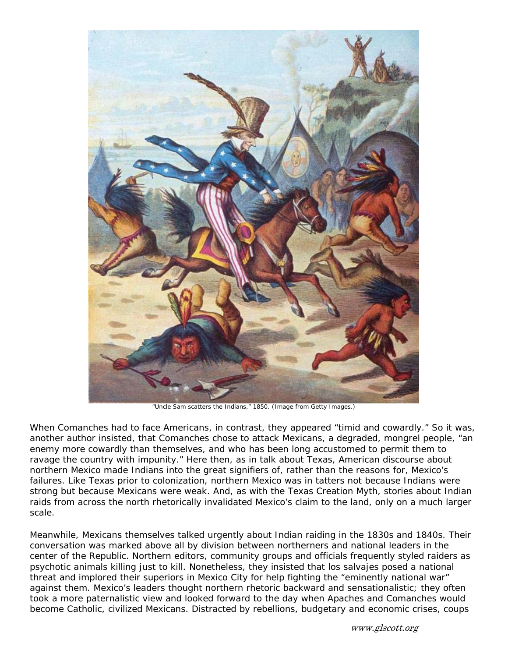

"Uncle Sam scatters the Indians," 1850. (Image from Getty Images.)

When Comanches had to face Americans, in contrast, they appeared "timid and cowardly." So it was, another author insisted, that Comanches chose to attack Mexicans, a degraded, mongrel people, "an enemy more cowardly than themselves, and who has been long accustomed to permit them to ravage the country with impunity." Here then, as in talk about Texas, American discourse about northern Mexico made Indians into the great signifiers of, rather than the reasons for, Mexico's failures. Like Texas prior to colonization, northern Mexico was in tatters not because Indians were strong but because Mexicans were weak. And, as with the Texas Creation Myth, stories about Indian raids from across the north rhetorically invalidated Mexico's claim to the land, only on a much larger scale.

Meanwhile, Mexicans themselves talked urgently about Indian raiding in the 1830s and 1840s. Their conversation was marked above all by division between northerners and national leaders in the center of the Republic. Northern editors, community groups and officials frequently styled raiders as psychotic animals killing just to kill. Nonetheless, they insisted that los salvajes posed a national threat and implored their superiors in Mexico City for help fighting the "eminently national war" against them. Mexico's leaders thought northern rhetoric backward and sensationalistic; they often took a more paternalistic view and looked forward to the day when Apaches and Comanches would become Catholic, civilized Mexicans. Distracted by rebellions, budgetary and economic crises, coups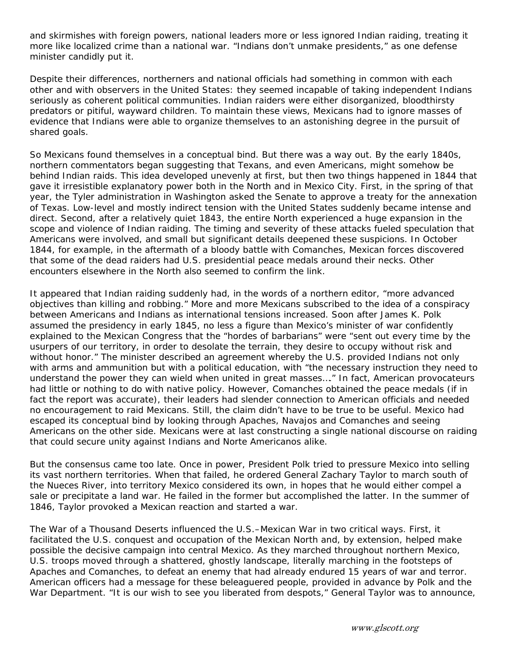and skirmishes with foreign powers, national leaders more or less ignored Indian raiding, treating it more like localized crime than a national war. "Indians don't unmake presidents," as one defense minister candidly put it.

Despite their differences, northerners and national officials had something in common with each other and with observers in the United States: they seemed incapable of taking independent Indians seriously as coherent political communities. Indian raiders were either disorganized, bloodthirsty predators or pitiful, wayward children. To maintain these views, Mexicans had to ignore masses of evidence that Indians were able to organize themselves to an astonishing degree in the pursuit of shared goals.

So Mexicans found themselves in a conceptual bind. But there was a way out. By the early 1840s, northern commentators began suggesting that Texans, and even Americans, might somehow be behind Indian raids. This idea developed unevenly at first, but then two things happened in 1844 that gave it irresistible explanatory power both in the North and in Mexico City. First, in the spring of that year, the Tyler administration in Washington asked the Senate to approve a treaty for the annexation of Texas. Low-level and mostly indirect tension with the United States suddenly became intense and direct. Second, after a relatively quiet 1843, the entire North experienced a huge expansion in the scope and violence of Indian raiding. The timing and severity of these attacks fueled speculation that Americans were involved, and small but significant details deepened these suspicions. In October 1844, for example, in the aftermath of a bloody battle with Comanches, Mexican forces discovered that some of the dead raiders had U.S. presidential peace medals around their necks. Other encounters elsewhere in the North also seemed to confirm the link.

It appeared that Indian raiding suddenly had, in the words of a northern editor, "more advanced objectives than killing and robbing." More and more Mexicans subscribed to the idea of a conspiracy between Americans and Indians as international tensions increased. Soon after James K. Polk assumed the presidency in early 1845, no less a figure than Mexico's minister of war confidently explained to the Mexican Congress that the "hordes of barbarians" were "sent out every time by the usurpers of our territory, in order to desolate the terrain, they desire to occupy without risk and without honor." The minister described an agreement whereby the U.S. provided Indians not only with arms and ammunition but with a political education, with "the necessary instruction they need to understand the power they can wield when united in great masses…." In fact, American provocateurs had little or nothing to do with native policy. However, Comanches obtained the peace medals (if in fact the report was accurate), their leaders had slender connection to American officials and needed no encouragement to raid Mexicans. Still, the claim didn't have to be true to be useful. Mexico had escaped its conceptual bind by looking through Apaches, Navajos and Comanches and seeing Americans on the other side. Mexicans were at last constructing a single national discourse on raiding that could secure unity against Indians and Norte Americanos alike.

But the consensus came too late. Once in power, President Polk tried to pressure Mexico into selling its vast northern territories. When that failed, he ordered General Zachary Taylor to march south of the Nueces River, into territory Mexico considered its own, in hopes that he would either compel a sale or precipitate a land war. He failed in the former but accomplished the latter. In the summer of 1846, Taylor provoked a Mexican reaction and started a war.

The War of a Thousand Deserts influenced the U.S.–Mexican War in two critical ways. First, it facilitated the U.S. conquest and occupation of the Mexican North and, by extension, helped make possible the decisive campaign into central Mexico. As they marched throughout northern Mexico, U.S. troops moved through a shattered, ghostly landscape, literally marching in the footsteps of Apaches and Comanches, to defeat an enemy that had already endured 15 years of war and terror. American officers had a message for these beleaguered people, provided in advance by Polk and the War Department. "It is our wish to see you liberated from despots," General Taylor was to announce,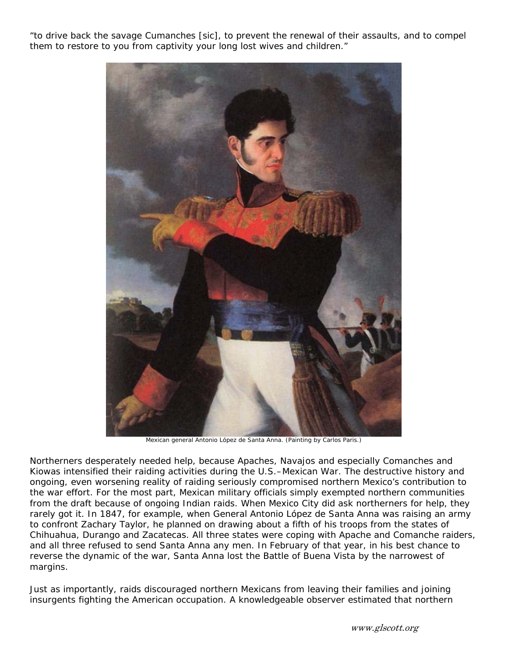"to drive back the savage Cumanches [sic], to prevent the renewal of their assaults, and to compel them to restore to you from captivity your long lost wives and children."



Mexican general Antonio López de Santa Anna. (Painting by Carlos Paris.)

Northerners desperately needed help, because Apaches, Navajos and especially Comanches and Kiowas intensified their raiding activities during the U.S.–Mexican War. The destructive history and ongoing, even worsening reality of raiding seriously compromised northern Mexico's contribution to the war effort. For the most part, Mexican military officials simply exempted northern communities from the draft because of ongoing Indian raids. When Mexico City did ask northerners for help, they rarely got it. In 1847, for example, when General Antonio López de Santa Anna was raising an army to confront Zachary Taylor, he planned on drawing about a fifth of his troops from the states of Chihuahua, Durango and Zacatecas. All three states were coping with Apache and Comanche raiders, and all three refused to send Santa Anna any men. In February of that year, in his best chance to reverse the dynamic of the war, Santa Anna lost the Battle of Buena Vista by the narrowest of margins.

Just as importantly, raids discouraged northern Mexicans from leaving their families and joining insurgents fighting the American occupation. A knowledgeable observer estimated that northern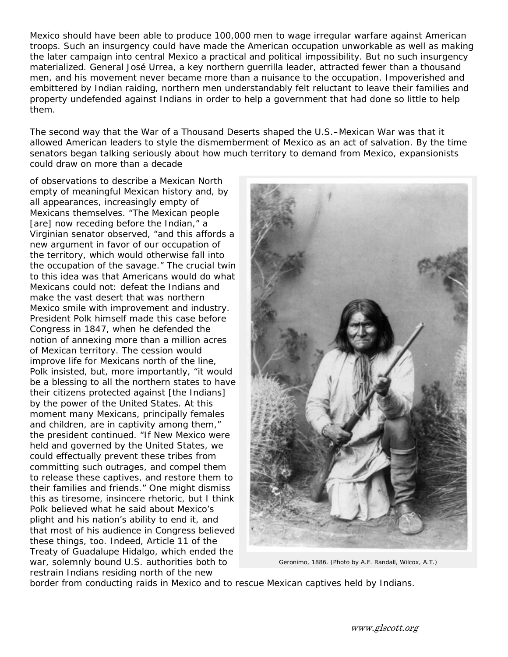Mexico should have been able to produce 100,000 men to wage irregular warfare against American troops. Such an insurgency could have made the American occupation unworkable as well as making the later campaign into central Mexico a practical and political impossibility. But no such insurgency materialized. General José Urrea, a key northern guerrilla leader, attracted fewer than a thousand men, and his movement never became more than a nuisance to the occupation. Impoverished and embittered by Indian raiding, northern men understandably felt reluctant to leave their families and property undefended against Indians in order to help a government that had done so little to help them.

The second way that the War of a Thousand Deserts shaped the U.S.–Mexican War was that it allowed American leaders to style the dismemberment of Mexico as an act of salvation. By the time senators began talking seriously about how much territory to demand from Mexico, expansionists could draw on more than a decade

of observations to describe a Mexican North empty of meaningful Mexican history and, by all appearances, increasingly empty of Mexicans themselves. "The Mexican people [are] now receding before the Indian," a Virginian senator observed, "and this affords a new argument in favor of our occupation of the territory, which would otherwise fall into the occupation of the savage." The crucial twin to this idea was that Americans would do what Mexicans could not: defeat the Indians and make the vast desert that was northern Mexico smile with improvement and industry. President Polk himself made this case before Congress in 1847, when he defended the notion of annexing more than a million acres of Mexican territory. The cession would improve life for Mexicans north of the line, Polk insisted, but, more importantly, "it would be a blessing to all the northern states to have their citizens protected against [the Indians] by the power of the United States. At this moment many Mexicans, principally females and children, are in captivity among them," the president continued. "If New Mexico were held and governed by the United States, we could effectually prevent these tribes from committing such outrages, and compel them to release these captives, and restore them to their families and friends." One might dismiss this as tiresome, insincere rhetoric, but I think Polk believed what he said about Mexico's plight and his nation's ability to end it, and that most of his audience in Congress believed these things, too. Indeed, Article 11 of the Treaty of Guadalupe Hidalgo, which ended the war, solemnly bound U.S. authorities both to restrain Indians residing north of the new



Geronimo, 1886. (Photo by A.F. Randall, Wilcox, A.T.)

border from conducting raids in Mexico and to rescue Mexican captives held by Indians.